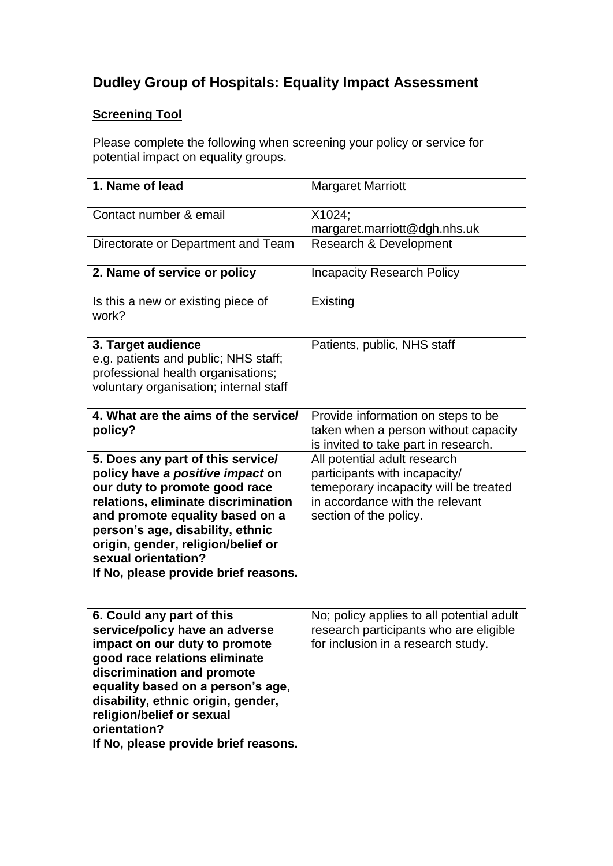# **Dudley Group of Hospitals: Equality Impact Assessment**

## **Screening Tool**

Please complete the following when screening your policy or service for potential impact on equality groups.

| 1. Name of lead                                                                                                                                                                                                                                                                                                             | <b>Margaret Marriott</b>                                                                                                                                            |
|-----------------------------------------------------------------------------------------------------------------------------------------------------------------------------------------------------------------------------------------------------------------------------------------------------------------------------|---------------------------------------------------------------------------------------------------------------------------------------------------------------------|
| Contact number & email                                                                                                                                                                                                                                                                                                      | X1024;<br>margaret.marriott@dgh.nhs.uk                                                                                                                              |
| Directorate or Department and Team                                                                                                                                                                                                                                                                                          | <b>Research &amp; Development</b>                                                                                                                                   |
| 2. Name of service or policy                                                                                                                                                                                                                                                                                                | <b>Incapacity Research Policy</b>                                                                                                                                   |
| Is this a new or existing piece of<br>work?                                                                                                                                                                                                                                                                                 | Existing                                                                                                                                                            |
| 3. Target audience<br>e.g. patients and public; NHS staff;<br>professional health organisations;<br>voluntary organisation; internal staff                                                                                                                                                                                  | Patients, public, NHS staff                                                                                                                                         |
| 4. What are the aims of the service/<br>policy?                                                                                                                                                                                                                                                                             | Provide information on steps to be<br>taken when a person without capacity<br>is invited to take part in research.                                                  |
| 5. Does any part of this service/<br>policy have a positive impact on<br>our duty to promote good race<br>relations, eliminate discrimination<br>and promote equality based on a<br>person's age, disability, ethnic<br>origin, gender, religion/belief or<br>sexual orientation?<br>If No, please provide brief reasons.   | All potential adult research<br>participants with incapacity/<br>temeporary incapacity will be treated<br>in accordance with the relevant<br>section of the policy. |
| 6. Could any part of this<br>service/policy have an adverse<br>impact on our duty to promote<br>good race relations eliminate<br>discrimination and promote<br>equality based on a person's age,<br>disability, ethnic origin, gender,<br>religion/belief or sexual<br>orientation?<br>If No, please provide brief reasons. | No; policy applies to all potential adult<br>research participants who are eligible<br>for inclusion in a research study.                                           |